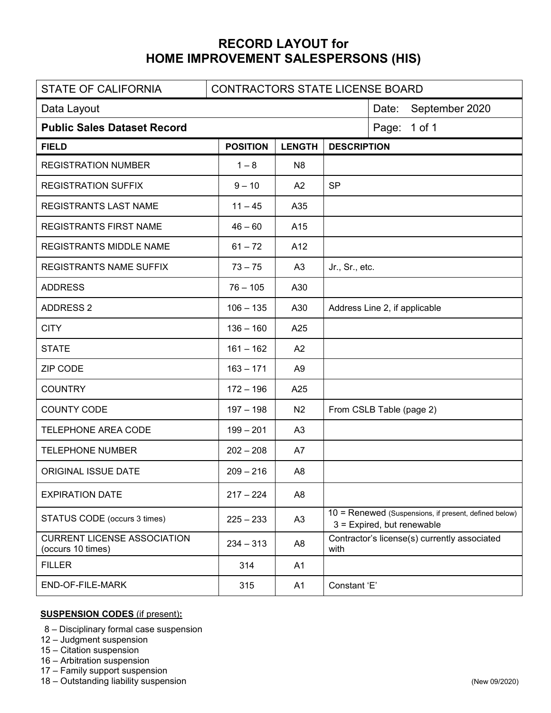## **RECORD LAYOUT for HOME IMPROVEMENT SALESPERSONS (HIS)**

| <b>STATE OF CALIFORNIA</b>                              | CONTRACTORS STATE LICENSE BOARD |                |                                                                                     |  |  |  |  |  |
|---------------------------------------------------------|---------------------------------|----------------|-------------------------------------------------------------------------------------|--|--|--|--|--|
| Data Layout                                             | Date:<br>September 2020         |                |                                                                                     |  |  |  |  |  |
| <b>Public Sales Dataset Record</b>                      | Page: 1 of 1                    |                |                                                                                     |  |  |  |  |  |
| <b>FIELD</b>                                            | <b>POSITION</b>                 | <b>LENGTH</b>  | <b>DESCRIPTION</b>                                                                  |  |  |  |  |  |
| <b>REGISTRATION NUMBER</b>                              | $1 - 8$                         | N <sub>8</sub> |                                                                                     |  |  |  |  |  |
| <b>REGISTRATION SUFFIX</b>                              | $9 - 10$                        | A <sub>2</sub> | <b>SP</b>                                                                           |  |  |  |  |  |
| <b>REGISTRANTS LAST NAME</b>                            | $11 - 45$                       | A35            |                                                                                     |  |  |  |  |  |
| <b>REGISTRANTS FIRST NAME</b>                           | $46 - 60$                       | A15            |                                                                                     |  |  |  |  |  |
| REGISTRANTS MIDDLE NAME                                 | $61 - 72$                       | A12            |                                                                                     |  |  |  |  |  |
| <b>REGISTRANTS NAME SUFFIX</b>                          | $73 - 75$                       | A3             | Jr., Sr., etc.                                                                      |  |  |  |  |  |
| <b>ADDRESS</b>                                          | $76 - 105$                      | A30            |                                                                                     |  |  |  |  |  |
| <b>ADDRESS 2</b>                                        | $106 - 135$                     | A30            | Address Line 2, if applicable                                                       |  |  |  |  |  |
| <b>CITY</b>                                             | $136 - 160$                     | A25            |                                                                                     |  |  |  |  |  |
| <b>STATE</b>                                            | $161 - 162$                     | A <sub>2</sub> |                                                                                     |  |  |  |  |  |
| <b>ZIP CODE</b>                                         | $163 - 171$                     | A <sub>9</sub> |                                                                                     |  |  |  |  |  |
| <b>COUNTRY</b>                                          | $172 - 196$                     | A25            |                                                                                     |  |  |  |  |  |
| <b>COUNTY CODE</b>                                      | $197 - 198$                     | N <sub>2</sub> | From CSLB Table (page 2)                                                            |  |  |  |  |  |
| <b>TELEPHONE AREA CODE</b>                              | $199 - 201$                     | A3             |                                                                                     |  |  |  |  |  |
| <b>TELEPHONE NUMBER</b>                                 | $202 - 208$                     | A7             |                                                                                     |  |  |  |  |  |
| ORIGINAL ISSUE DATE                                     | $209 - 216$                     | A <sub>8</sub> |                                                                                     |  |  |  |  |  |
| <b>EXPIRATION DATE</b>                                  | $217 - 224$                     | A <sub>8</sub> |                                                                                     |  |  |  |  |  |
| STATUS CODE (occurs 3 times)                            | $225 - 233$                     | A <sub>3</sub> | 10 = Renewed (Suspensions, if present, defined below)<br>3 = Expired, but renewable |  |  |  |  |  |
| <b>CURRENT LICENSE ASSOCIATION</b><br>(occurs 10 times) | $234 - 313$                     | A <sub>8</sub> | Contractor's license(s) currently associated<br>with                                |  |  |  |  |  |
| <b>FILLER</b>                                           | 314                             | A1             |                                                                                     |  |  |  |  |  |
| END-OF-FILE-MARK                                        | 315                             | A1             | Constant 'E'                                                                        |  |  |  |  |  |

## **SUSPENSION CODES** (if present)**:**

- 8 Disciplinary formal case suspension
- 12 Judgment suspension
- 15 Citation suspension
- 16 Arbitration suspension
- 17 Family support suspension
- 18 Outstanding liability suspension(New 09/2020)